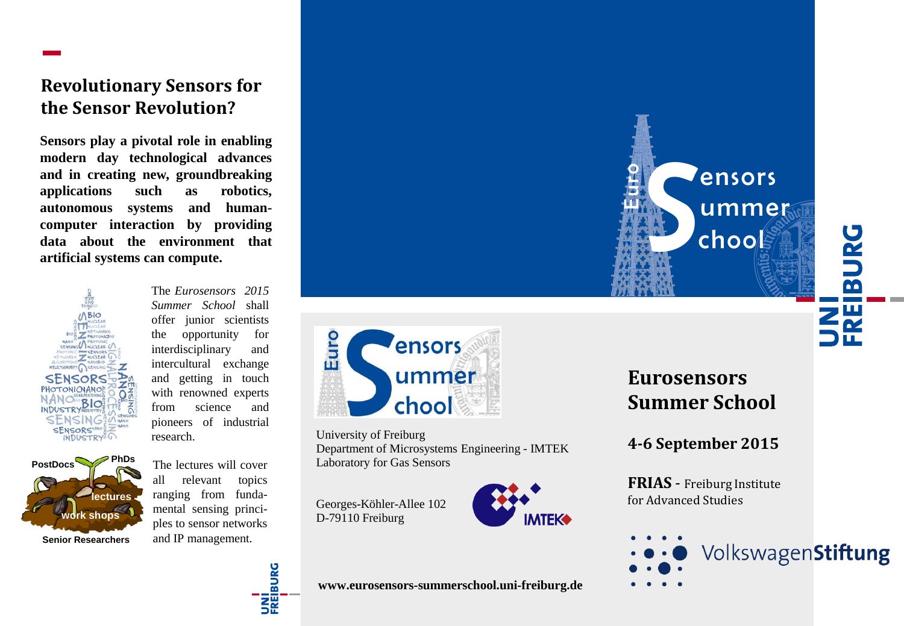# **Revolutionary Sensors for the Sensor Revolution?**

**Sensors play a pivotal role in enabling modern day technological advances and in creating new, groundbreaking applications such as robotics, autonomous systems and humancomputer interaction by providing data about the environment that artificial systems can compute.**



The *Eurosensors 2015 Summer School* shall offer junior scientists the opportunity for interdisciplinary and intercultural exchange and getting in touch with renowned experts from science and pioneers of industrial research.

**PhDs work shops lectures Senior Researchers PostDocs**

The lectures will cover all relevant topics ranging from fundamental sensing principles to sensor networks and IP management.





University of Freiburg Department of Microsystems Engineering - IMTEK Laboratory for Gas Sensors

Georges-Köhler-Allee 102 D-79110 Freiburg



**Eurosensors Summer School**

**4-6 September 2015**

**FRIAS** - Freiburg Institute for Advanced Studies





**www.eurosensors-summerschool.uni-freiburg.de**